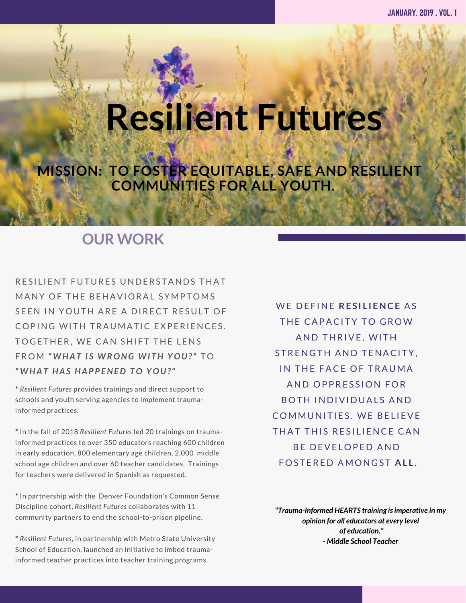# OUR MISSION: **Resilient Futures**

T O F O S T O F O S T E R E S I L I T A B L E S A T E N D R E

**MISSION: TO FOSTER EQUITABLE, SAFE AND RESILIENT COMMUNITIES FOR ALL YOUTH.**

## **OUR WORK**

RESILIENT FUTURES UNDERSTANDS THAT MANY OF THE BEHAVIORAL SYMPTOMS SEEN IN YOUTH ARE A DIRECT RESULT OF COPING WITH TRAUMATIC EXPERIENCES. TO GETHER. WE CAN SHIFT THE LENS FROM "WHAT IS WRONG WITH YOU?" TO *" W H A T H A S H A P P E N E D T O Y O U ? "*

**\*** *Resilient Futures* provides trainings and direct support to schools and youth serving agencies to implement traumainformed practices*.* 

**\*** In the fall of 2018 *Resilient Futures* led 20 trainings on traumainformed practices to over 350 educators reaching 600 children in early education, 800 elementary age children, 2,000 middle school age children and over 60 teacher candidates. Trainings for teachers were delivered in Spanish as requested.

**\*** In partnership with the Denver Foundation's Common Sense Discipline cohort, *Resilient Futures* collaborates with 11 community partners to end the school-to-prison pipeline.

**\*** *Resilient Futures,* in partnership with Metro State University School of Education, launched an initiative to imbed traumainformed teacher practices into teacher training programs.

WE DEFINE RESILIENCE AS THE CAPACITY TO GROW AND THRIVE, WITH STRENGTH AND TENACITY. IN THE FACE OF TRAUMA AND OPPRESSION FOR BOTH INDIVIDUALS AND COMMUNITIES. WE BELIEVE THAT THIS RESILIENCE CAN BE DEVELOPED AND F O S T E R E D A M O N G S T **A L L .**

*"Trauma-Informed HEARTS training is imperative in my opinion for all educators at every level of education." - Middle School Teacher*